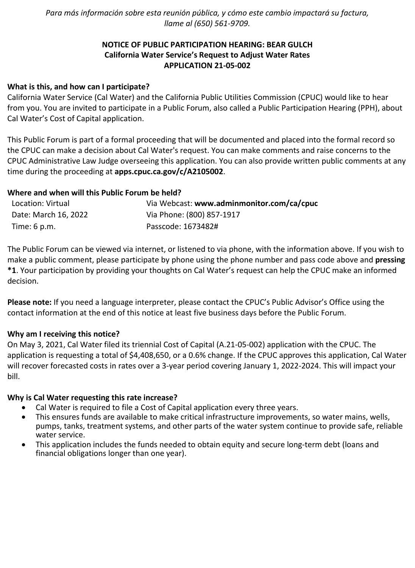*Para más información sobre esta reunión pública, y cómo este cambio impactará su factura, llame al (650) 561-9709.*

# **NOTICE OF PUBLIC PARTICIPATION HEARING: BEAR GULCH California Water Service's Request to Adjust Water Rates APPLICATION 21-05-002**

# **What is this, and how can I participate?**

California Water Service (Cal Water) and the California Public Utilities Commission (CPUC) would like to hear from you. You are invited to participate in a Public Forum, also called a Public Participation Hearing (PPH), about Cal Water's Cost of Capital application.

This Public Forum is part of a formal proceeding that will be documented and placed into the formal record so the CPUC can make a decision about Cal Water's request. You can make comments and raise concerns to the CPUC Administrative Law Judge overseeing this application. You can also provide written public comments at any time during the proceeding at **[apps.cpuc.ca.gov/c/A2105002](https://apps.cpuc.ca.gov/apex/f?p=401:65:0::NO:RP,57,RIR:P5_PROCEEDING_SELECT:A2105002)**.

## **Where and when will this Public Forum be held?**

| Location: Virtual      | Via Webcast: www.adminmonitor.com/ca/cpuc |
|------------------------|-------------------------------------------|
| Date: March 16, 2022   | Via Phone: (800) 857-1917                 |
| Time: $6 \text{ p.m.}$ | Passcode: 1673482#                        |

The Public Forum can be viewed via internet, or listened to via phone, with the information above. If you wish to make a public comment, please participate by phone using the phone number and pass code above and **pressing \*1**. Your participation by providing your thoughts on Cal Water's request can help the CPUC make an informed decision.

**Please note:** If you need a language interpreter, please contact the CPUC's Public Advisor's Office using the contact information at the end of this notice at least five business days before the Public Forum.

#### **Why am I receiving this notice?**

On May 3, 2021, Cal Water filed its triennial Cost of Capital (A.21-05-002) application with the CPUC. The application is requesting a total of \$4,408,650, or a 0.6% change. If the CPUC approves this application, Cal Water will recover forecasted costs in rates over a 3-year period covering January 1, 2022-2024. This will impact your bill.

#### **Why is Cal Water requesting this rate increase?**

- Cal Water is required to file a Cost of Capital application every three years.
- This ensures funds are available to make critical infrastructure improvements, so water mains, wells, pumps, tanks, treatment systems, and other parts of the water system continue to provide safe, reliable water service.
- This application includes the funds needed to obtain equity and secure long-term debt (loans and financial obligations longer than one year).